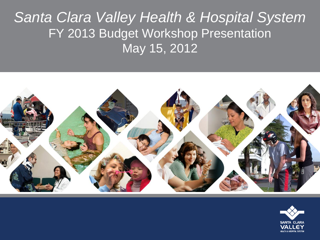## Santa Clara Valley Health & Hospital System FY 2013 Budget Workshop Presentation May 15, 2012



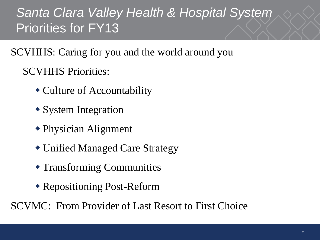### Santa Clara Valley Health & Hospital System Priorities for FY13

SCVHHS: Caring for you and the world around you

SCVHHS Priorities:

- Culture of Accountability
- System Integration
- Physician Alignment
- Unified Managed Care Strategy
- Transforming Communities
- Repositioning Post-Reform

SCVMC: From Provider of Last Resort to First Choice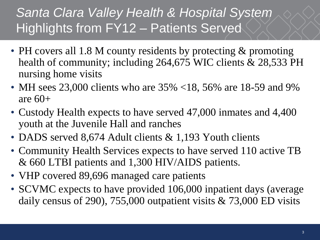## Santa Clara Valley Health & Hospital System Highlights from FY12 – Patients Served

- PH covers all 1.8 M county residents by protecting & promoting health of community; including 264,675 WIC clients & 28,533 PH nursing home visits
- MH sees 23,000 clients who are 35% <18, 56% are 18-59 and 9% are  $60+$
- Custody Health expects to have served 47,000 inmates and 4,400 youth at the Juvenile Hall and ranches
- DADS served 8,674 Adult clients & 1,193 Youth clients
- Community Health Services expects to have served 110 active TB & 660 LTBI patients and 1,300 HIV/AIDS patients.
- VHP covered 89,696 managed care patients
- SCVMC expects to have provided 106,000 inpatient days (average daily census of 290), 755,000 outpatient visits & 73,000 ED visits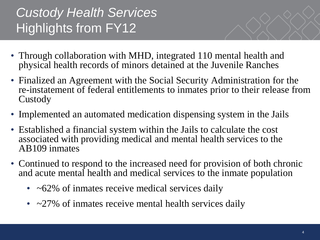# **Custody Health Services** Highlights from FY12

- Through collaboration with MHD, integrated 110 mental health and physical health records of minors detained at the Juvenile Ranches
- Finalized an Agreement with the Social Security Administration for the re-instatement of federal entitlements to inmates prior to their release from Custody
- Implemented an automated medication dispensing system in the Jails
- Established a financial system within the Jails to calculate the cost associated with providing medical and mental health services to the AB109 inmates
- Continued to respond to the increased need for provision of both chronic and acute mental health and medical services to the inmate population
	- $\cdot$  ~62% of inmates receive medical services daily
	- $\sim$  27% of inmates receive mental health services daily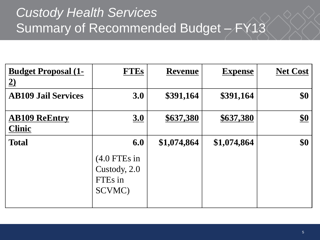## Custody Health Services Summary of Recommended Budget – FY13

| <b>Budget Proposal (1-</b><br><u>2)</u> | <b>FTEs</b>                                         | <b>Revenue</b> | <b>Expense</b> | <b>Net Cost</b> |
|-----------------------------------------|-----------------------------------------------------|----------------|----------------|-----------------|
| <b>AB109 Jail Services</b>              | 3.0                                                 | \$391,164      | \$391,164      | \$0             |
| <b>AB109 ReEntry</b><br><b>Clinic</b>   | <u>3.0</u>                                          | \$637,380      | \$637,380      | $\frac{$0}{}$   |
| <b>Total</b>                            | 6.0                                                 | \$1,074,864    | \$1,074,864    | \$0             |
|                                         | $(4.0$ FTEs in<br>Custody, 2.0<br>FTEs in<br>SCVMC) |                |                |                 |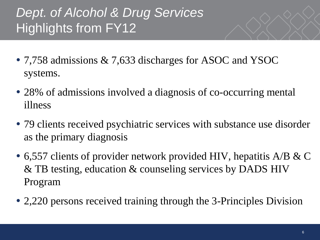# Dept. of Alcohol & Drug Services Highlights from FY12

- 7,758 admissions & 7,633 discharges for ASOC and YSOC systems.
- 28% of admissions involved a diagnosis of co-occurring mental illness
- 79 clients received psychiatric services with substance use disorder as the primary diagnosis
- 6,557 clients of provider network provided HIV, hepatitis A/B & C & TB testing, education & counseling services by DADS HIV Program
- 2,220 persons received training through the 3-Principles Division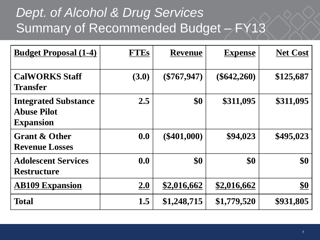## Dept. of Alcohol & Drug Services Summary of Recommended Budget – FY13

| <b>Budget Proposal (1-4)</b>                                          | <b>FTEs</b> | <b>Revenue</b> | <b>Expense</b> | <b>Net Cost</b> |
|-----------------------------------------------------------------------|-------------|----------------|----------------|-----------------|
| <b>CalWORKS Staff</b><br><b>Transfer</b>                              | (3.0)       | $(\$767,947)$  | $(\$642,260)$  | \$125,687       |
| <b>Integrated Substance</b><br><b>Abuse Pilot</b><br><b>Expansion</b> | 2.5         | \$0            | \$311,095      | \$311,095       |
| <b>Grant &amp; Other</b><br><b>Revenue Losses</b>                     | 0.0         | $(\$401,000)$  | \$94,023       | \$495,023       |
| <b>Adolescent Services</b><br><b>Restructure</b>                      | 0.0         | \$0            | \$0            | \$0             |
| <b>AB109 Expansion</b>                                                | 2.0         | \$2,016,662    | \$2,016,662    | $\frac{$0}{}$   |
| <b>Total</b>                                                          | 1.5         | \$1,248,715    | \$1,779,520    | \$931,805       |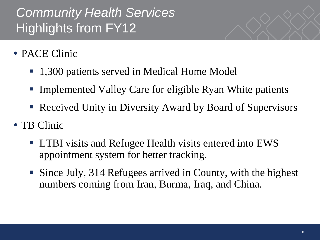# **Community Health Services** Highlights from FY12

- PACE Clinic
	- 1,300 patients served in Medical Home Model
	- Implemented Valley Care for eligible Ryan White patients
	- Received Unity in Diversity Award by Board of Supervisors
- TB Clinic
	- **LTBI** visits and Refugee Health visits entered into EWS appointment system for better tracking.
	- Since July, 314 Refugees arrived in County, with the highest numbers coming from Iran, Burma, Iraq, and China.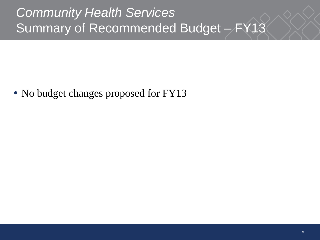## **Community Health Services** Summary of Recommended Budget – FY13

• No budget changes proposed for FY13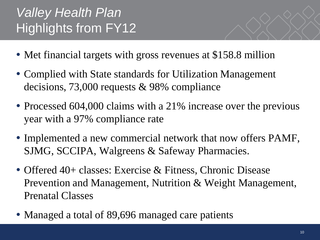# Valley Health Plan Highlights from FY12

- Met financial targets with gross revenues at \$158.8 million
- Complied with State standards for Utilization Management decisions, 73,000 requests & 98% compliance
- Processed 604,000 claims with a 21% increase over the previous year with a 97% compliance rate
- Implemented a new commercial network that now offers PAMF, SJMG, SCCIPA, Walgreens & Safeway Pharmacies.
- Offered 40+ classes: Exercise & Fitness, Chronic Disease Prevention and Management, Nutrition & Weight Management, Prenatal Classes
- Managed a total of 89,696 managed care patients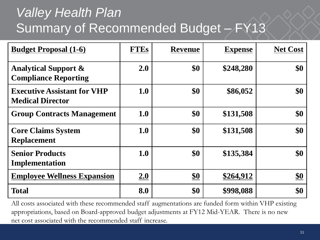# Valley Health Plan Summary of Recommended Budget – FY13

| <b>Budget Proposal (1-6)</b>                                   | <b>FTEs</b> | <b>Revenue</b> | <b>Expense</b> | <b>Net Cost</b> |
|----------------------------------------------------------------|-------------|----------------|----------------|-----------------|
| <b>Analytical Support &amp;</b><br><b>Compliance Reporting</b> | 2.0         | \$0            | \$248,280      | \$0             |
| <b>Executive Assistant for VHP</b><br><b>Medical Director</b>  | 1.0         | \$0            | \$86,052       | \$0             |
| <b>Group Contracts Management</b>                              | <b>1.0</b>  | \$0            | \$131,508      | \$0             |
| <b>Core Claims System</b><br><b>Replacement</b>                | 1.0         | \$0            | \$131,508      | \$0             |
| <b>Senior Products</b><br>Implementation                       | 1.0         | \$0            | \$135,384      | \$0             |
| <b>Employee Wellness Expansion</b>                             | <b>2.0</b>  | $\frac{$0}{}$  | \$264,912      | <u>\$0</u>      |
| <b>Total</b>                                                   | 8.0         | \$0            | \$998,088      | \$0             |

All costs associated with these recommended staff augmentations are funded form within VHP existing appropriations, based on Board-approved budget adjustments at FY12 Mid-YEAR. There is no new net cost associated with the recommended staff increase.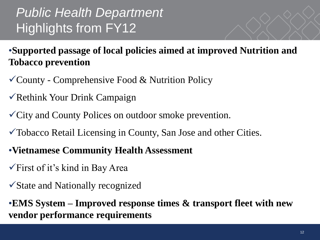# Public Health Department Highlights from FY12

•**Supported passage of local policies aimed at improved Nutrition and Tobacco prevention** 

- $\checkmark$  County Comprehensive Food & Nutrition Policy
- $\checkmark$  Rethink Your Drink Campaign
- City and County Polices on outdoor smoke prevention.
- Tobacco Retail Licensing in County, San Jose and other Cities.
- •**Vietnamese Community Health Assessment**
- $\sqrt{\text{First of it's kind}}$  in Bay Area
- State and Nationally recognized

•**EMS System – Improved response times & transport fleet with new vendor performance requirements**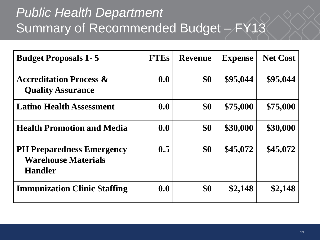## Public Health Department Summary of Recommended Budget - FY13

| <b>Budget Proposals 1-5</b>                                                      | <b>FTEs</b> | <b>Revenue</b> | <b>Expense</b> | <b>Net Cost</b> |
|----------------------------------------------------------------------------------|-------------|----------------|----------------|-----------------|
| <b>Accreditation Process &amp;</b><br><b>Quality Assurance</b>                   | 0.0         | \$0            | \$95,044       | \$95,044        |
| <b>Latino Health Assessment</b>                                                  | 0.0         | \$0            | \$75,000       | \$75,000        |
| <b>Health Promotion and Media</b>                                                | 0.0         | \$0            | \$30,000       | \$30,000        |
| <b>PH Preparedness Emergency</b><br><b>Warehouse Materials</b><br><b>Handler</b> | 0.5         | \$0            | \$45,072       | \$45,072        |
| <b>Immunization Clinic Staffing</b>                                              | 0.0         | \$0            | \$2,148        | \$2,148         |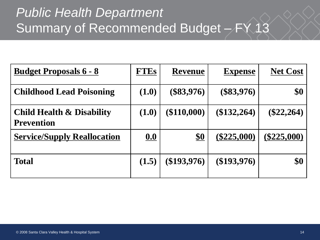# Public Health Department Summary of Recommended Budget - FY 13

| <u> Budget Proposals 6 - 8</u>                            | <b>FTEs</b> | <b>Revenue</b> | <b>Expense</b> | <b>Net Cost</b> |
|-----------------------------------------------------------|-------------|----------------|----------------|-----------------|
| <b>Childhood Lead Poisoning</b>                           | (1.0)       | $(\$83,976)$   | $(\$83,976)$   | \$0             |
| <b>Child Health &amp; Disability</b><br><b>Prevention</b> | (1.0)       | $(\$110,000)$  | (\$132,264)    | $(\$22,264)$    |
| <b>Service/Supply Reallocation</b>                        | 0.0         | $\frac{$0}{}$  | $(\$225,000)$  | $(\$225,000)$   |
| <b>Total</b>                                              | (1.5)       | $(\$193,976)$  | $(\$193,976)$  | \$0             |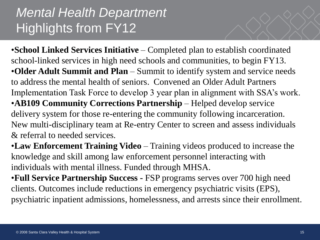#### Mental Health Department Highlights from FY12

•**School Linked Services Initiative** – Completed plan to establish coordinated school-linked services in high need schools and communities, to begin FY13. •**Older Adult Summit and Plan** – Summit to identify system and service needs to address the mental health of seniors. Convened an Older Adult Partners Implementation Task Force to develop 3 year plan in alignment with SSA's work. •**AB109 Community Corrections Partnership** – Helped develop service delivery system for those re-entering the community following incarceration. New multi-disciplinary team at Re-entry Center to screen and assess individuals & referral to needed services.

•**Law Enforcement Training Video** – Training videos produced to increase the knowledge and skill among law enforcement personnel interacting with individuals with mental illness. Funded through MHSA.

•**Full Service Partnership Success -** FSP programs serves over 700 high need clients. Outcomes include reductions in emergency psychiatric visits (EPS), psychiatric inpatient admissions, homelessness, and arrests since their enrollment.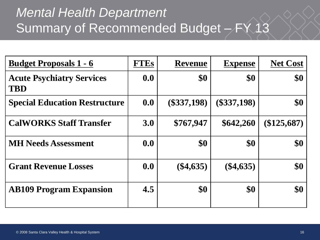## Mental Health Department Summary of Recommended Budget - FY 13

| <u> Budget Proposals 1 - 6</u>                 | <b>FTEs</b> | <b>Revenue</b> | <b>Expense</b> | <b>Net Cost</b> |
|------------------------------------------------|-------------|----------------|----------------|-----------------|
| <b>Acute Psychiatry Services</b><br><b>TBD</b> | 0.0         | \$0            | \$0            | \$0             |
| <b>Special Education Restructure</b>           | 0.0         | $(\$337,198)$  | $(\$337,198)$  | \$0             |
| <b>CalWORKS Staff Transfer</b>                 | 3.0         | \$767,947      | \$642,260      | $(\$125,687)$   |
| <b>MH Needs Assessment</b>                     | 0.0         | \$0            | \$0            | \$0             |
| <b>Grant Revenue Losses</b>                    | 0.0         | $(\$4,635)$    | $(\$4,635)$    | \$0             |
| <b>AB109 Program Expansion</b>                 | 4.5         | \$0            | \$0            | \$0             |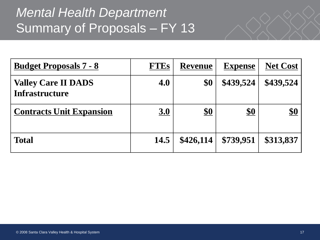#### Mental Health Department Summary of Proposals – FY 13

| <b>Budget Proposals 7 - 8</b>                       | <b>FTEs</b> | <b>Revenue</b> | <b>Expense</b> | <b>Net Cost</b> |
|-----------------------------------------------------|-------------|----------------|----------------|-----------------|
| <b>Valley Care II DADS</b><br><b>Infrastructure</b> | 4.0         | \$0            | \$439,524      | \$439,524       |
| <b>Contracts Unit Expansion</b>                     | <u>3.0</u>  | $\frac{$0}{}$  | $\frac{$0}{}$  | $\frac{$0}{}$   |
| <b>Total</b>                                        | 14.5        | \$426,114      | \$739,951      | \$313,837       |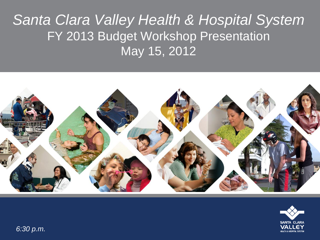## Santa Clara Valley Health & Hospital System FY 2013 Budget Workshop Presentation May 15, 2012





6:30 p.m.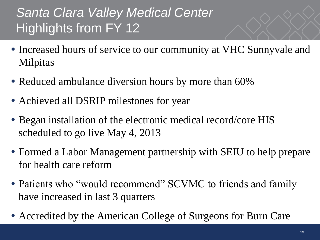# Santa Clara Valley Medical Center Highlights from FY 12

- Increased hours of service to our community at VHC Sunnyvale and Milpitas
- Reduced ambulance diversion hours by more than 60%
- Achieved all DSRIP milestones for year
- Began installation of the electronic medical record/core HIS scheduled to go live May 4, 2013
- Formed a Labor Management partnership with SEIU to help prepare for health care reform
- Patients who "would recommend" SCVMC to friends and family have increased in last 3 quarters
- Accredited by the American College of Surgeons for Burn Care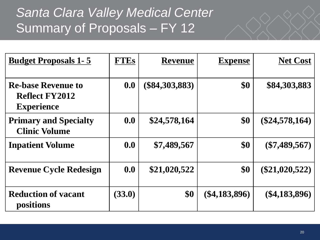#### Santa Clara Valley Medical Center Summary of Proposals – FY 12

| <b>Budget Proposals 1-5</b>                                             | <b>FTEs</b> | <b>Revenue</b>   | <b>Expense</b>  | <b>Net Cost</b>  |
|-------------------------------------------------------------------------|-------------|------------------|-----------------|------------------|
| <b>Re-base Revenue to</b><br><b>Reflect FY2012</b><br><b>Experience</b> | 0.0         | $(\$84,303,883)$ | \$0             | \$84,303,883     |
| <b>Primary and Specialty</b><br><b>Clinic Volume</b>                    | 0.0         | \$24,578,164     | \$0             | $(\$24,578,164)$ |
| <b>Inpatient Volume</b>                                                 | 0.0         | \$7,489,567      | \$0             | $(\$7,489,567)$  |
| <b>Revenue Cycle Redesign</b>                                           | 0.0         | \$21,020,522     | \$0             | $(\$21,020,522)$ |
| <b>Reduction of vacant</b><br>positions                                 | (33.0)      | \$0              | $(\$4,183,896)$ | $(\$4,183,896)$  |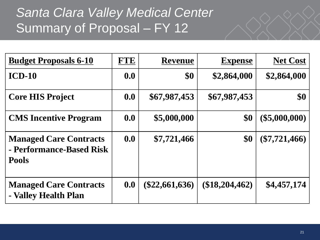#### Santa Clara Valley Medical Center Summary of Proposal - FY 12

| <b>Budget Proposals 6-10</b>                                              | <b>FTE</b> | <b>Revenue</b>   | <b>Expense</b>   | <b>Net Cost</b> |
|---------------------------------------------------------------------------|------------|------------------|------------------|-----------------|
| $ICD-10$                                                                  | 0.0        | \$0              | \$2,864,000      | \$2,864,000     |
| <b>Core HIS Project</b>                                                   | 0.0        | \$67,987,453     | \$67,987,453     | \$0             |
| <b>CMS</b> Incentive Program                                              | 0.0        | \$5,000,000      | \$0              | $(\$5,000,000)$ |
| <b>Managed Care Contracts</b><br>- Performance-Based Risk<br><b>Pools</b> | 0.0        | \$7,721,466      | \$0              | $(\$7,721,466)$ |
| <b>Managed Care Contracts</b><br>- Valley Health Plan                     | 0.0        | $(\$22,661,636)$ | $(\$18,204,462)$ | \$4,457,174     |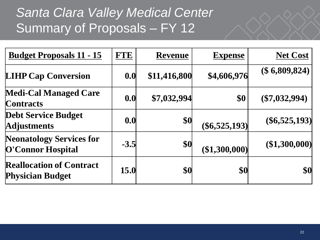#### Santa Clara Valley Medical Center Summary of Proposals – FY 12

| <u> Budget Proposals 11 - 15</u>                           | <b>FTE</b> | <b>Revenue</b> | <b>Expense</b>  | <b>Net Cost</b>      |
|------------------------------------------------------------|------------|----------------|-----------------|----------------------|
| <b>LIHP Cap Conversion</b>                                 | 0.0        | \$11,416,800   | \$4,606,976     | $(\$6,809,824)$      |
| <b>Medi-Cal Managed Care</b><br>Contracts                  | 0.0        | \$7,032,994    | \$0             | $(\$7,032,994)$      |
| <b>Debt Service Budget</b><br><b>Adjustments</b>           | 0.0        | \$0            | $(\$6,525,193)$ | $($ \$6,525,193) $ $ |
| <b>Neonatology Services for</b><br>O'Connor Hospital       | $-3.5$     | \$0            | (\$1,300,000)   | (\$1,300,000)        |
| <b>Reallocation of Contract</b><br><b>Physician Budget</b> | 15.0       | \$0            | \$0             | \$0                  |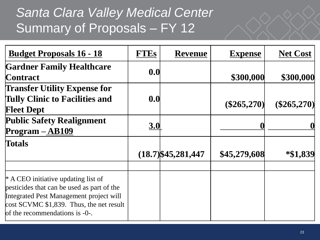#### Santa Clara Valley Medical Center Summary of Proposals – FY 12

| <u> Budget Proposals 16 - 18</u>                                                                                                                                                                             | <b>FTEs</b> | <b>Revenue</b>        | <b>Expense</b> | <b>Net Cost</b> |
|--------------------------------------------------------------------------------------------------------------------------------------------------------------------------------------------------------------|-------------|-----------------------|----------------|-----------------|
| <b>Gardner Family Healthcare</b><br><b>Contract</b>                                                                                                                                                          | 0.0         |                       | \$300,000      | \$300,000       |
| <b>Transfer Utility Expense for</b><br><b>Tully Clinic to Facilities and</b><br><b>Fleet Dept</b>                                                                                                            | 0.0         |                       | (\$265,270)    | $(\$265,270)$   |
| <b>Public Safety Realignment</b><br>Program - AB109                                                                                                                                                          | 3.0         |                       |                |                 |
| <b>Totals</b>                                                                                                                                                                                                |             | $(18.7)$ \$45,281,447 | \$45,279,608   | *\$1,839        |
| $*$ A CEO initiative updating list of<br>pesticides that can be used as part of the<br>Integrated Pest Management project will<br>cost SCVMC \$1,839. Thus, the net result<br>of the recommendations is -0-. |             |                       |                |                 |